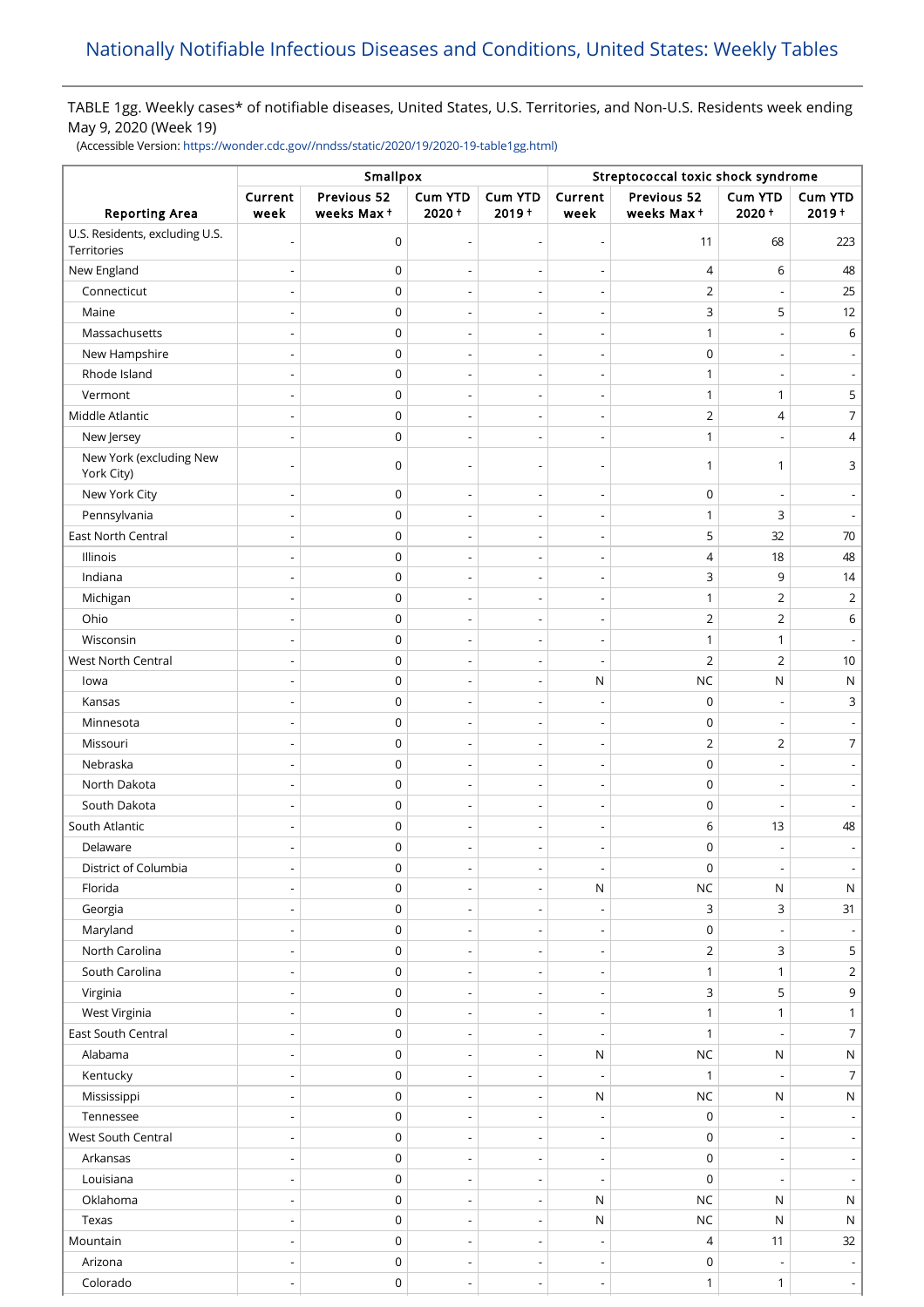# TABLE 1gg. Weekly cases\* of notifiable diseases, United States, U.S. Territories, and Non-U.S. Residents week ending May 9, 2020 (Week 19)

(Accessible Version: [https://wonder.cdc.gov//nndss/static/2020/19/2020-19-table1gg.html\)](https://wonder.cdc.gov//nndss/static/2020/19/2020-19-table1gg.html)

|                                               | Smallpox                 |                           |                                                      |                                            | Streptococcal toxic shock syndrome                   |                            |                                       |                     |  |
|-----------------------------------------------|--------------------------|---------------------------|------------------------------------------------------|--------------------------------------------|------------------------------------------------------|----------------------------|---------------------------------------|---------------------|--|
| <b>Reporting Area</b>                         | Current<br>week          | Previous 52<br>weeks Max+ | Cum YTD<br>$2020 +$                                  | <b>Cum YTD</b><br>$2019 +$                 | Current<br>week                                      | Previous 52<br>weeks Max+  | Cum YTD<br>$2020 +$                   | Cum YTD<br>$2019 +$ |  |
| U.S. Residents, excluding U.S.<br>Territories |                          | $\mathbf 0$               | $\overline{\phantom{a}}$                             | Ĭ.                                         | $\overline{a}$                                       | 11                         | 68                                    | 223                 |  |
| New England                                   |                          | $\mathbf 0$               |                                                      | $\overline{\phantom{a}}$                   | $\qquad \qquad \blacksquare$                         | $\overline{4}$             | 6                                     | 48                  |  |
| Connecticut                                   |                          | 0                         |                                                      |                                            | Ĭ.                                                   | $\overline{2}$             |                                       | 25                  |  |
| Maine                                         |                          | $\mathbf 0$               | $\overline{\phantom{a}}$                             | $\overline{\phantom{a}}$                   | $\qquad \qquad \blacksquare$                         | $\mathsf 3$                | 5                                     | 12                  |  |
| Massachusetts                                 |                          | $\mathbf 0$               | $\overline{a}$                                       | $\overline{\phantom{a}}$                   | $\overline{a}$                                       | $\mathbf{1}$               |                                       | 6                   |  |
| New Hampshire                                 |                          | $\mathbf 0$               | $\overline{\phantom{a}}$                             | $\overline{\phantom{a}}$                   | $\overline{a}$                                       | $\mathbf 0$                |                                       |                     |  |
| Rhode Island                                  |                          | $\mathbf 0$               | $\overline{\phantom{a}}$                             | $\overline{a}$                             | $\overline{a}$                                       | $\mathbf{1}$               |                                       |                     |  |
| Vermont                                       |                          | $\mathbf 0$               | $\overline{\phantom{a}}$                             | Ĭ.                                         | $\overline{a}$                                       | $\mathbf{1}$               | 1                                     | 5                   |  |
| Middle Atlantic                               |                          | $\mathbf 0$               | $\overline{\phantom{a}}$                             | $\overline{\phantom{a}}$                   | $\overline{\phantom{a}}$                             | $\overline{2}$             | $\overline{4}$                        | 7                   |  |
| New Jersey                                    |                          | $\mathbf 0$               |                                                      |                                            |                                                      | $\mathbf{1}$               |                                       | 4                   |  |
| New York (excluding New<br>York City)         |                          | $\mathbf 0$               | ٠                                                    | $\overline{a}$                             | $\overline{a}$                                       | 1                          | $\mathbf{1}$                          | 3                   |  |
| New York City                                 |                          | $\mathbf 0$               | $\overline{a}$                                       | $\overline{a}$                             | $\qquad \qquad \blacksquare$                         | $\mathbf 0$                |                                       |                     |  |
| Pennsylvania                                  |                          | $\mathsf 0$               |                                                      |                                            | $\overline{a}$                                       | $\mathbf{1}$               | 3                                     |                     |  |
| <b>East North Central</b>                     |                          | $\mathbf 0$               | $\overline{\phantom{a}}$                             | $\overline{a}$                             | $\qquad \qquad \blacksquare$                         | 5                          | 32                                    | 70                  |  |
| Illinois                                      |                          | $\mathbf 0$               | $\overline{a}$                                       | $\overline{a}$                             | $\overline{a}$                                       | $\overline{4}$             | 18                                    | 48                  |  |
| Indiana                                       |                          | $\mathbf 0$               | $\overline{\phantom{a}}$                             | $\overline{\phantom{a}}$                   | $\overline{a}$                                       | 3                          | 9                                     | 14                  |  |
| Michigan                                      |                          | $\mathbf 0$               | $\overline{a}$                                       | $\overline{a}$                             | $\overline{\phantom{0}}$                             | $\mathbf{1}$               | $\overline{2}$                        | $\overline{2}$      |  |
| Ohio                                          |                          | $\mathbf 0$               | $\overline{\phantom{a}}$                             | Ĭ.                                         | $\overline{a}$                                       | $\overline{2}$             | $\overline{2}$                        | 6                   |  |
| Wisconsin                                     |                          | $\mathbf 0$               | $\overline{\phantom{a}}$                             | $\overline{\phantom{a}}$                   | $\overline{\phantom{a}}$                             | $\mathbf{1}$               | 1                                     |                     |  |
| West North Central                            |                          | $\mathbf 0$               |                                                      |                                            |                                                      | $\overline{2}$             | $\overline{2}$                        | 10                  |  |
| lowa                                          |                          | $\mathbf 0$               | $\overline{\phantom{a}}$                             | $\overline{\phantom{a}}$                   | ${\sf N}$                                            | $NC$                       | N                                     | N                   |  |
| Kansas                                        |                          | $\mathbf 0$               |                                                      |                                            |                                                      | $\pmb{0}$                  |                                       | 3                   |  |
| Minnesota                                     |                          | $\mathbf 0$               | $\overline{\phantom{a}}$                             | $\overline{\phantom{a}}$                   | $\overline{\phantom{a}}$                             | $\pmb{0}$                  |                                       |                     |  |
| Missouri                                      |                          | 0                         | $\overline{a}$                                       |                                            |                                                      | $\overline{2}$             | 2                                     | $\overline{7}$      |  |
| Nebraska                                      |                          | $\mathbf 0$               | $\overline{\phantom{a}}$                             | $\overline{a}$                             | $\qquad \qquad \blacksquare$                         | $\mathbf 0$                |                                       |                     |  |
| North Dakota                                  |                          | 0                         | $\overline{a}$                                       |                                            | $\overline{a}$                                       | $\mathbf 0$                |                                       |                     |  |
| South Dakota                                  |                          | $\mathbf 0$               | $\overline{\phantom{a}}$                             | $\overline{\phantom{a}}$                   | $\overline{a}$                                       | $\mathbf 0$                | $\overline{\phantom{a}}$              |                     |  |
| South Atlantic                                |                          | $\mathbf 0$               | $\overline{\phantom{0}}$                             | $\overline{\phantom{0}}$                   |                                                      | 6                          | 13                                    | 48                  |  |
| Delaware                                      |                          | $\mathbf 0$               |                                                      |                                            |                                                      | $\mathbf 0$                |                                       |                     |  |
| District of Columbia                          |                          | 0                         |                                                      |                                            | $\overline{\phantom{a}}$                             | $\mathbf 0$                | $\overline{\phantom{a}}$              |                     |  |
| Florida                                       |                          | $\mathsf 0$               | $\overline{\phantom{a}}$                             | $\overline{a}$                             | ${\sf N}$                                            | NC                         | N                                     | ${\sf N}$           |  |
| Georgia                                       |                          | $\mathsf 0$               | $\overline{\phantom{a}}$                             | $\overline{\phantom{a}}$                   | $\overline{\phantom{a}}$                             | $\mathsf{3}$               | 3                                     | 31                  |  |
| Maryland                                      |                          | $\mathsf 0$               |                                                      |                                            |                                                      | $\mathsf 0$                |                                       |                     |  |
| North Carolina                                |                          | $\mathsf 0$               | $\overline{\phantom{a}}$                             | $\overline{\phantom{a}}$                   | $\overline{\phantom{a}}$                             | $\overline{2}$             | 3                                     | 5                   |  |
| South Carolina                                |                          | 0                         | $\overline{a}$                                       | $\overline{a}$                             | $\overline{a}$                                       | $\mathbf{1}$               | $\mathbf{1}$                          | $\overline{2}$      |  |
| Virginia                                      |                          | 0                         | $\overline{\phantom{a}}$                             | $\overline{\phantom{a}}$                   | $\overline{\phantom{a}}$                             | $\ensuremath{\mathsf{3}}$  | 5                                     | 9                   |  |
| West Virginia                                 |                          | 0                         | $\overline{a}$                                       | $\overline{a}$                             | $\overline{a}$                                       | $\mathbf{1}$               | 1                                     | 1                   |  |
| East South Central                            |                          | $\mathsf 0$               | $\overline{\phantom{a}}$                             | $\overline{\phantom{a}}$                   | $\overline{\phantom{a}}$                             | $\mathbf{1}$               |                                       | $\overline{7}$      |  |
| Alabama                                       |                          | $\mathsf 0$               | $\overline{\phantom{a}}$                             | $\overline{\phantom{a}}$                   | ${\sf N}$                                            | NC                         | ${\sf N}$                             | ${\sf N}$           |  |
| Kentucky                                      |                          | $\mathsf 0$               |                                                      | $\overline{\phantom{a}}$                   | $\overline{\phantom{a}}$                             | $\mathbf{1}$               |                                       | 7                   |  |
| Mississippi                                   |                          | $\mathsf 0$               | $\overline{\phantom{a}}$<br>$\overline{\phantom{a}}$ | $\overline{\phantom{a}}$                   | ${\sf N}$                                            | $NC$                       | N                                     | ${\sf N}$           |  |
| Tennessee                                     |                          | $\mathsf 0$               |                                                      |                                            |                                                      | $\boldsymbol{0}$           |                                       |                     |  |
| West South Central                            |                          | $\mathsf 0$               | $\overline{\phantom{a}}$                             | $\overline{\phantom{a}}$                   | $\overline{\phantom{a}}$<br>$\overline{\phantom{a}}$ | $\boldsymbol{0}$           |                                       |                     |  |
|                                               |                          | $\mathsf 0$               |                                                      |                                            |                                                      |                            |                                       |                     |  |
| Arkansas<br>Louisiana                         |                          | $\mathsf 0$               | $\overline{\phantom{a}}$                             |                                            | $\overline{\phantom{a}}$                             | $\mathsf 0$<br>$\mathbf 0$ |                                       |                     |  |
| Oklahoma                                      |                          | 0                         | $\overline{\phantom{a}}$<br>$\overline{a}$           | $\overline{\phantom{a}}$<br>$\overline{a}$ | $\overline{\phantom{a}}$<br>$\mathsf{N}$             | <b>NC</b>                  | $\overline{\phantom{a}}$<br>${\sf N}$ | $\mathsf{N}$        |  |
| Texas                                         |                          | $\mathsf 0$               |                                                      |                                            |                                                      | NC                         | N                                     |                     |  |
|                                               |                          |                           | $\overline{\phantom{a}}$                             | $\overline{\phantom{a}}$                   | ${\sf N}$                                            |                            |                                       | ${\sf N}$           |  |
| Mountain                                      |                          | $\mathsf 0$               | $\overline{a}$                                       | $\overline{a}$                             | $\overline{a}$                                       | 4                          | 11                                    | 32                  |  |
| Arizona                                       | $\overline{\phantom{a}}$ | $\mathsf 0$               | $\overline{\phantom{a}}$                             | $\overline{\phantom{a}}$                   | $\overline{\phantom{a}}$                             | $\mathbf 0$                | $\overline{\phantom{a}}$              |                     |  |
| Colorado                                      |                          | $\mathsf 0$               | $\overline{\phantom{a}}$                             | $\overline{\phantom{0}}$                   | $\overline{\phantom{a}}$                             | $\mathbf{1}$               | 1                                     |                     |  |